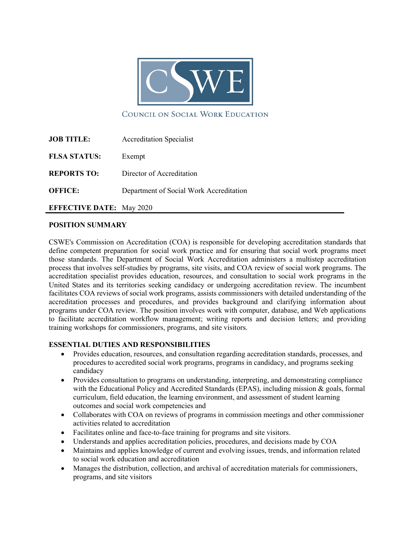

COUNCIL ON SOCIAL WORK EDUCATION

| <b>JOB TITLE:</b>   | <b>Accreditation Specialist</b>         |
|---------------------|-----------------------------------------|
| <b>FLSA STATUS:</b> | Exempt                                  |
| <b>REPORTS TO:</b>  | Director of Accreditation               |
| <b>OFFICE:</b>      | Department of Social Work Accreditation |
|                     |                                         |

**EFFECTIVE DATE:** May 2020

### **POSITION SUMMARY**

CSWE's Commission on Accreditation (COA) is responsible for developing accreditation standards that define competent preparation for social work practice and for ensuring that social work programs meet those standards. The Department of Social Work Accreditation administers a multistep accreditation process that involves self-studies by programs, site visits, and COA review of social work programs. The accreditation specialist provides education, resources, and consultation to social work programs in the United States and its territories seeking candidacy or undergoing accreditation review. The incumbent facilitates COA reviews of social work programs, assists commissioners with detailed understanding of the accreditation processes and procedures, and provides background and clarifying information about programs under COA review. The position involves work with computer, database, and Web applications to facilitate accreditation workflow management; writing reports and decision letters; and providing training workshops for commissioners, programs, and site visitors.

### **ESSENTIAL DUTIES AND RESPONSIBILITIES**

- Provides education, resources, and consultation regarding accreditation standards, processes, and procedures to accredited social work programs, programs in candidacy, and programs seeking candidacy
- Provides consultation to programs on understanding, interpreting, and demonstrating compliance with the Educational Policy and Accredited Standards (EPAS), including mission & goals, formal curriculum, field education, the learning environment, and assessment of student learning outcomes and social work competencies and
- Collaborates with COA on reviews of programs in commission meetings and other commissioner activities related to accreditation
- Facilitates online and face-to-face training for programs and site visitors.
- Understands and applies accreditation policies, procedures, and decisions made by COA
- Maintains and applies knowledge of current and evolving issues, trends, and information related to social work education and accreditation
- Manages the distribution, collection, and archival of accreditation materials for commissioners, programs, and site visitors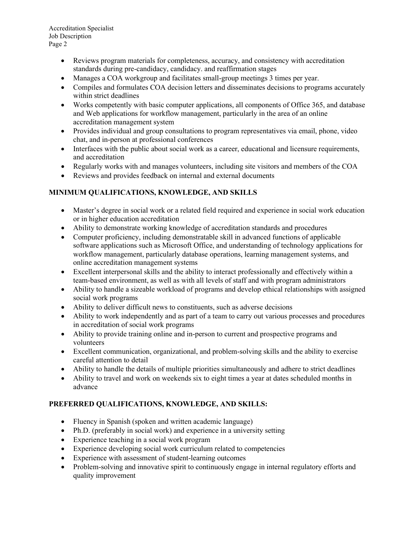Accreditation Specialist Job Description Page 2

- Reviews program materials for completeness, accuracy, and consistency with accreditation standards during pre-candidacy, candidacy. and reaffirmation stages
- Manages a COA workgroup and facilitates small-group meetings 3 times per year.
- Compiles and formulates COA decision letters and disseminates decisions to programs accurately within strict deadlines
- Works competently with basic computer applications, all components of Office 365, and database and Web applications for workflow management, particularly in the area of an online accreditation management system
- Provides individual and group consultations to program representatives via email, phone, video chat, and in-person at professional conferences
- Interfaces with the public about social work as a career, educational and licensure requirements, and accreditation
- Regularly works with and manages volunteers, including site visitors and members of the COA
- Reviews and provides feedback on internal and external documents

# **MINIMUM QUALIFICATIONS, KNOWLEDGE, AND SKILLS**

- Master's degree in social work or a related field required and experience in social work education or in higher education accreditation
- Ability to demonstrate working knowledge of accreditation standards and procedures
- Computer proficiency, including demonstratable skill in advanced functions of applicable software applications such as Microsoft Office, and understanding of technology applications for workflow management, particularly database operations, learning management systems, and online accreditation management systems
- Excellent interpersonal skills and the ability to interact professionally and effectively within a team-based environment, as well as with all levels of staff and with program administrators
- Ability to handle a sizeable workload of programs and develop ethical relationships with assigned social work programs
- Ability to deliver difficult news to constituents, such as adverse decisions
- Ability to work independently and as part of a team to carry out various processes and procedures in accreditation of social work programs
- Ability to provide training online and in-person to current and prospective programs and volunteers
- Excellent communication, organizational, and problem-solving skills and the ability to exercise careful attention to detail
- Ability to handle the details of multiple priorities simultaneously and adhere to strict deadlines
- Ability to travel and work on weekends six to eight times a year at dates scheduled months in advance

# **PREFERRED QUALIFICATIONS, KNOWLEDGE, AND SKILLS:**

- Fluency in Spanish (spoken and written academic language)
- Ph.D. (preferably in social work) and experience in a university setting
- Experience teaching in a social work program
- Experience developing social work curriculum related to competencies
- Experience with assessment of student-learning outcomes
- Problem-solving and innovative spirit to continuously engage in internal regulatory efforts and quality improvement